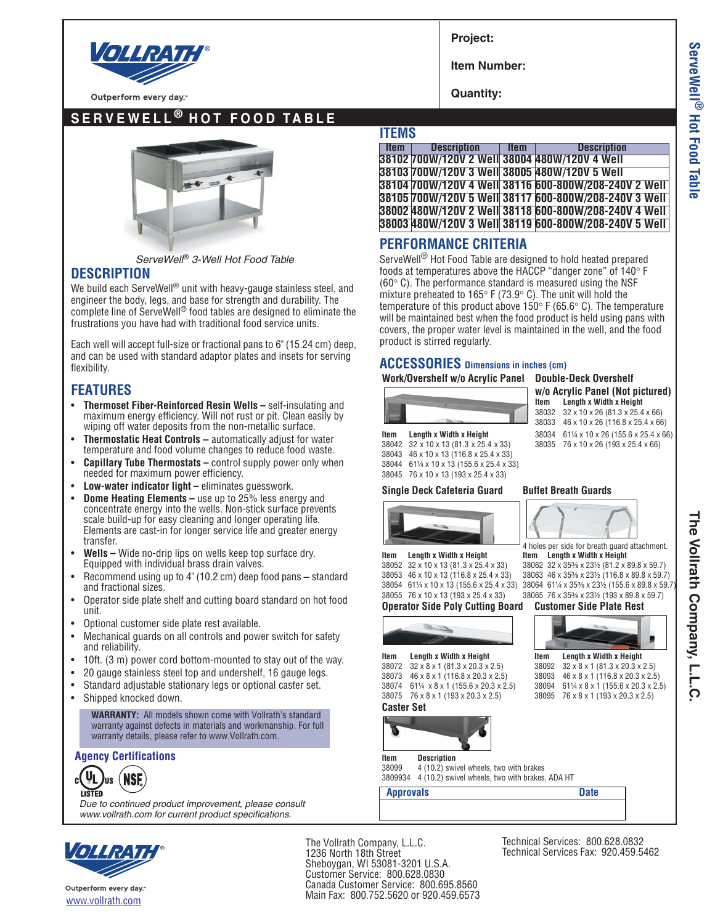

Outperform every day.

**SERVEWELL ® HOT FOOD TABLE**



*ServeWell*® *3-Well Hot Food Table*

## **DESCRIPTION**

We build each ServeWell<sup>®</sup> unit with heavy-gauge stainless steel, and engineer the body, legs, and base for strength and durability. The complete line of ServeWell® food tables are designed to eliminate the frustrations you have had with traditional food service units.

Each well will accept full-size or fractional pans to 6" (15.24 cm) deep, and can be used with standard adaptor plates and insets for serving flexibility.

## **FEATURES**

- **Thermoset Fiber-Reinforced Resin Wells –** self-insulating and maximum energy efficiency. Will not rust or pit. Clean easily by wiping off water deposits from the non-metallic surface.
- **Thermostatic Heat Controls –** automatically adjust for water temperature and food volume changes to reduce food waste.
- **Capillary Tube Thermostats –** control supply power only when needed for maximum power efficiency.
- **Low-water indicator light –** eliminates guesswork.
- **Dome Heating Elements –** use up to 25% less energy and concentrate energy into the wells. Non-stick surface prevents scale build-up for easy cleaning and longer operating life. Elements are cast-in for longer service life and greater energy transfer.
- **Wells –** Wide no-drip lips on wells keep top surface dry. Equipped with individual brass drain valves.
- Recommend using up to 4" (10.2 cm) deep food pans standard and fractional sizes.
- Operator side plate shelf and cutting board standard on hot food unit.
- Optional customer side plate rest available.
- Mechanical guards on all controls and power switch for safety and reliability.
- 10ft. (3 m) power cord bottom-mounted to stay out of the way.
- 20 gauge stainless steel top and undershelf, 16 gauge legs.
- Standard adjustable stationary legs or optional caster set.
- Shipped knocked down.

**WARRANTY:** All models shown come with Vollrath's standard warranty against defects in materials and workmanship. For full warranty details, please refer to www.Vollrath.com.

### **Agency Certifications**

**VL** (NSF aıl **I ISTED** 

*Due to continued product improvement, please consult www.vollrath.com for current product specifications.*



Outperform every day: www.vollrath.com

**Project:**

**Item Number:**

**Quantity:**

## **ITEMS**

**Item Description Item Description 38102 700W/120V 2 Well 38004 480W/120V 4 Well 38103 700W/120V 3 Well 38005 480W/120V 5 Well 38104 700W/120V 4 Well 38116 600-800W/208-240V 2 Well 38105 700W/120V 5 Well 38117 600-800W/208-240V 3 Well 38002 480W/120V 2 Well 38118 600-800W/208-240V 4 Well 38003 480W/120V 3 Well 38119 600-800W/208-240V 5 Well**

## **PERFORMANCE CRITERIA**

ServeWell® Hot Food Table are designed to hold heated prepared foods at temperatures above the HACCP "danger zone" of 140° F ( $60^{\circ}$  C). The performance standard is measured using the NSF mixture preheated to  $165^{\circ}$  F (73.9 $^{\circ}$  C). The unit will hold the temperature of this product above 150 $\degree$  F (65.6 $\degree$  C). The temperature will be maintained best when the food product is held using pans with covers, the proper water level is maintained in the well, and the food product is stirred regularly.

## **ACCESSORIES Dimensions in inches (cm)**

#### **Work/Overshelf w/o Acrylic Panel Double-Deck Overshelf**

| $W/O$ A |
|---------|
| ltem    |

#### **crylic Panel (Not pictured) Item Length x Width x Height** 38032 32 x 10 x 26 (81.3 x 25.4 x 66) 38033 46 x 10 x 26 (116.8 x 25.4 x 66)

**Item Length x Width x Height** 38034 6114 x 10 x 26 (155.6 x 25.4 x 66)<br>38042 32 x 10 x 13 (81.3 x 25.4 x 33) 38035 76 x 10 x 26 (193 x 25.4 x 66) 38042 32 x 10 x 13 (81.3 x 25.4 x 33) 38035 76 x 10 x 26 (193 x 25.4 x 66) 38043 46 x 10 x 13 (116.8 x 25.4 x 33) 38044 61¼ x 10 x 13 (155.6 x 25.4 x 33) 76 x 10 x 13 (193 x 25.4 x 33)

### **Single Deck Cafeteria Guard Buffet Breath Guards**



**Operator Side Poly Cutting Board Customer Side Plate Rest**



**Item Length x Width x Height Item Length x Width x Height** 38052 32 x 10 x 13 (81.3 x 25.4 x 33) 38062 32 x 35% x 231% (81.2 x 8) 38052 32 x 10 x 13 (81.3 x 25.4 x 33) 38062 32 x 35<sup>3</sup>⁄s x 23½ (81.2 x 89.8 x 59.7)<br>38053 46 x 10 x 13 (116.8 x 25.4 x 33) 38063 46 x 35<sup>3</sup>/s x 23½ (116.8 x 89.8 x 59.7) 38053 46 x 10 x 13 (116.8 x 25.4 x 33) 38063 46 x 35<sup>5</sup>/§ x 231<sup>2</sup> (116.8 x 89.8 x 59.7)<br>38054 6114 x 10 x 13 (155.6 x 25.4 x 33) 38064 6114 x 35<sup>5</sup>/§ x 231<sup>2</sup> (155.6 x 89.8 x 59.7) 38054 61¼ x 10 x 13 (155.6 x 25.4 x 33) 38064 61¼ x 35% x 23½ (155.6 x 89.8 x 59.7<br>38055 76 x 10 x 13 (193 x 25.4 x 33) 38065 76 x 35% x 23½ (193 x 89.8 x 59.7) 38065 76 x 35% x 23½ (193 x 89.8 x 59.7)



 $32 \times 8 \times 1$  (81.3  $\times$  20.3  $\times$  2.5) 38073 46x8x1 (116.8 x 20.3 x 2.5) 38093 46x8x1 (116.8 x 20.3 x 2.5) 38074 61¼ x 8 x 1 (155.6 x 20.3 x 2.5) 38075 76x8x1 (193 x 20.3 x 2.5) 38095 76x8x1 (193 x 20.3 x 2.5) **Caster Set**

**Item Length x Width x Height Item Length x Width x Height**<br>38072  $32 \times 8 \times 1.613 \times 203 \times 25$ <br>38092  $32 \times 8 \times 1.613 \times 203 \times 25$ 



**Item Description**<br>38099 4 (10.2) swife 38099 4 (10.2) swivel wheels, two with brakes 4 (10.2) swivel wheels, two with brakes, ADA HT

**Approvals** Date

The Vollrath Company, L.L.C. 1236 North 18th Street

Sheboygan, WI 53081-3201 U.S.A. Customer Service: 800.628.0830 Canada Customer Service: 800.695.8560 Main Fax: 800.752.5620 or 920.459.6573 Technical Services: 800.628.0832 Technical Services Fax: 920.459.5462 **The Vollrath Company, L.L.C.**